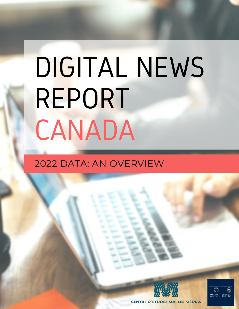# DIGITAL NEWS REPORT CANADA

## 2022 DATA: AN OVERVIEW



**CENTRE D'ÉTUDES SUR LES MÉDIAS**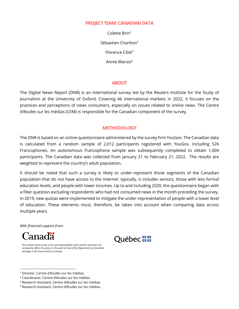#### **PROJECTTEAM: CANADIAN DATA**

Colette Brin<sup>1</sup> Sébastien Charlton<sup>2</sup> Florence Côté<sup>3</sup> Annie Marois<sup>4</sup>

#### **ABOUT**

The Digital News Report (DNR) is an international survey led by the Reuters Institute for the Study of Journalism at the University of Oxford. Covering 46 international markets in 2022, it focuses on the practices and perceptions of news consumers, especially on issues related to online news. The Centre d'études sur les médias (CEM) is responsible for the Canadian component of the survey.

#### **METHODOLOGY**

The DNR is based on an online questionnaire administered by the survey firm YouGov. The Canadian data is calculated from a random sample of 2,012 participants registered with YouGov, including 526 Francophones. An autonomous Francophone sample was subsequently completed to obtain 1,004 participants. The Canadian data was collected from January 21 to February 21, 2022. The results are weighted to represent the country's adult population.

It should be noted that such a survey is likely to under-represent those segments of the Canadian population that do not have access to the Internet: typically, it includes seniors, those with less formal education levels, and people with lower incomes. Up to and including 2020, the questionnaire began with a filter question excluding respondents who had not consumed news in the month preceding the survey. In 2019, new quotas were implemented to mitigate the under-representation of people with a lower level of education. These elements must, therefore, be taken into account when comparing data across multiple years.

*With financial support from:*





*The content of this study is the sole responsibility of the authors and does not necessarily reflect the policy or the point of view of the Department of Canadian Heritage or the Government of Canada*

<sup>&</sup>lt;sup>1</sup> Director, Centre d'études sur les médias.

<sup>2</sup> Coordinator, Centre d'études sur les médias.

<sup>3</sup> Research Assistant, Centre d'études sur les médias.

<sup>4</sup> Research Assistant, Centre d'études sur les médias.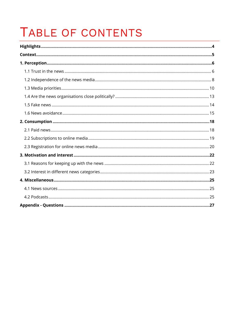## TABLE OF CONTENTS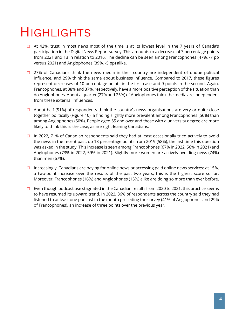## <span id="page-3-0"></span>HIGHLIGHTS

- $\Box$  At 42%, trust in most news most of the time is at its lowest level in the 7 years of Canada's participation in the Digital News Report survey. This amounts to a decrease of 3 percentage points from 2021 and 13 in relation to 2016. The decline can be seen among Francophones (47%, -7 pp versus 2021) and Anglophones (39%, -5 pp) alike.
- $\Box$  27% of Canadians think the news media in their country are independent of undue political influence, and 29% think the same about business influence. Compared to 2017, these figures represent decreases of 10 percentage points in the first case and 9 points in the second. Again, Francophones, at 38% and 37%, respectively, have a more positive perception of the situation than do Anglophones. About a quarter (27% and 25%) of Anglophones think the media are independent from these external influences.
- $\Box$  About half (51%) of respondents think the country's news organisations are very or quite close together politically (Figure 10), a finding slightly more prevalent among Francophones (56%) than among Anglophones (50%). People aged 65 and over and those with a university degree are more likely to think this is the case, as are right-leaning Canadians.
- $\Box$  In 2022, 71% of Canadian respondents said they had at least occasionally tried actively to avoid the news in the recent past, up 13 percentage points from 2019 (58%), the last time this question was asked in the study. This increase is seen among Francophones (67% in 2022, 56% in 2021) and Anglophones (73% in 2022, 59% in 2021). Slightly more women are actively avoiding news (74%) than men (67%).
- Increasingly, Canadians are paying for online news or accessing paid online news services: at 15%, a two-point increase over the results of the past two years, this is the highest score so far. Moreover, Francophones (16%) and Anglophones (15%) alike are doing so more than ever before.
- $\Box$  Even though podcast use stagnated in the Canadian results from 2020 to 2021, this practice seems to have resumed its upward trend. In 2022, 36% of respondents across the country said they had listened to at least one podcast in the month preceding the survey (41% of Anglophones and 29% of Francophones), an increase of three points over the previous year.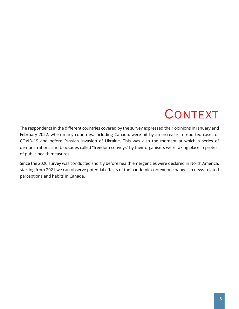## **CONTEXT**

<span id="page-4-0"></span>The respondents in the different countries covered by the survey expressed their opinions in January and February 2022, when many countries, including Canada, were hit by an increase in reported cases of COVID-19 and before Russia's invasion of Ukraine. This was also the moment at which a series of demonstrations and blockades called "freedom convoys" by their organisers were taking place in protest of public health measures.

Since the 2020 survey was conducted shortly before health emergencies were declared in North America, starting from 2021 we can observe potential effects of the pandemic context on changes in news-related perceptions and habits in Canada.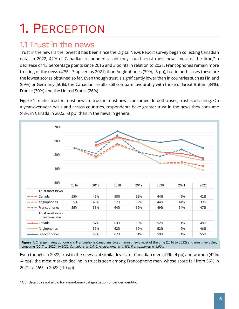## <span id="page-5-0"></span>1. PERCEPTION

### <span id="page-5-1"></span>1.1 Trust in the news

Trust in the news is the lowest it has been since the Digital News Report survey began collecting Canadian data. In 2022, 42% of Canadian respondents said they could "trust most news most of the time," a decrease of 13 percentage points since 2016 and 3 points in relation to 2021. Francophones remain more trusting of the news (47%, -7 pp versus 2021) than Anglophones (39%, -5 pp), but in both cases these are the lowest scores obtained so far. Even though trust is significantly lower than in countries such as Finland (69%) or Germany (50%), the Canadian results still compare favourably with those of Great Britain (34%), France (30%) and the United States (26%).

Figure 1 relates trust in most news to trust in most news consumed. In both cases, trust is declining. On a year-over-year basis and across countries, respondents have greater trust in the news they consume (48% in Canada in 2022, -3 pp) than in the news in general.



**Figure 1.** Change in Anglophone and Francophone Canadians' trust in most news most of the time (2016 to 2022) and most news they consume (2017 to 2022). *In 2022, Canadians: n=2,012; Anglophones: n=1,486; Francophones: n=1,004.*

Even though, in 2022, trust in the news is at similar levels for Canadian men (41%, -4 pp) and women (42%, -4 pp)<sup>5</sup>, the most marked decline in trust is seen among Francophone men, whose score fell from 56% in 2021 to 46% in 2022 (-10 pp).

<sup>5</sup> Our data does not allow for a non-binary categorization of gender identity.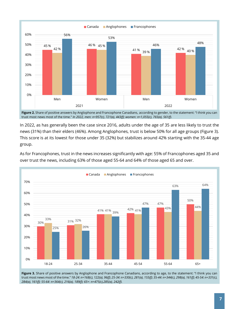

**Figure 2.** Share of positive answers by Anglophone and Francophone Canadians, according to gender, to the statement: "I think you can trust most news most of the time." *In 2022, men: n=957(c), 721(a), 443(f); women: n=1,055(c), 765(a), 561(f).*

In 2022, as has generally been the case since 2016, adults under the age of 35 are less likely to trust the news (31%) than their elders (46%). Among Anglophones, trust is below 50% for all age groups (Figure 3). This score is at its lowest for those under 35 (32%) but stabilizes around 42% starting with the 35-44 age group.

As for Francophones, trust in the news increases significantly with age: 55% of Francophones aged 35 and over trust the news, including 63% of those aged 55-64 and 64% of those aged 65 and over.



Figure 3. Share of positive answers by Anglophone and Francophone Canadians, according to age, to the statement: "I think you can trust most news most of the time." *18-24: n=168(c), 122(a), 96(f); 25-34: n=330(c), 281(a), 155(f); 35-44: n=344(c), 298(a), 161(f); 45-54: n=331(c), 284(a), 161(f); 55-64: n=364(c), 216(a), 189(f); 65+: n=475(c),285(a), 242(f).*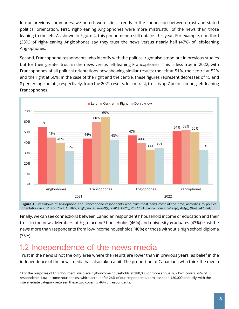In our previous summaries, we noted two distinct trends in the connection between trust and stated political orientation. First, right-leaning Anglophones were more mistrustful of the news than those leaning to the left. As shown in Figure 4, this phenomenon still obtains this year. For example, one-third (33%) of right-leaning Anglophones say they trust the news versus nearly half (47%) of left-leaning Anglophones.

Second, Francophone respondents who identify with the political right also stood out in previous studies but for their greater trust in the news versus left-leaning Francophones. This is less true in 2022, with Francophones of all political orientations now showing similar results: the left at 51%, the centre at 52% and the right at 50%. In the case of the right and the centre, these figures represent decreases of 15 and 8 percentage points, respectively, from the 2021 results. In contrast, trust is up 7 points among left-leaning Francophones.



Figure 4. Breakdown of Anglophone and Francophone respondents who trust most news most of the time, according to political orientation, in 2021 and 2022. *In 2022, Anglophones: n=289(g), 720(c), 192(d), 285 (dnk); Francophones: n=172(g), 494(c), 91(d), 247 (dnk).*

Finally, we can see connections between Canadian respondents' household income or education and their trust in the news. Members of high-income<sup>6</sup> households (46%) and university graduates (43%) trust the news more than respondents from low-income households (40%) or those without a high school diploma (35%).

## <span id="page-7-0"></span>1.2 Independence of the news media

Trust in the news is not the only area where the results are lower than in previous years, as belief in the independence of the news media has also taken a hit. The proportion of Canadians who think the media

<sup>6</sup> For the purposes of this document, we place high-income households at \$80,000 or more annually, which covers 28% of respondents. Low-income households, which account for 26% of our respondents, earn less than \$30,000 annually, with the intermediate category between these two covering 46% of respondents.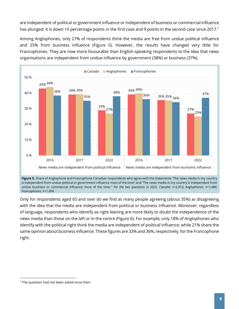are independent of political or government influence or independent of business or commercial influence has plunged: it is down 10 percentage points in the first case and 9 points in the second case since 2017.<sup>7</sup>

Among Anglophones, only 27% of respondents think the media are free from undue political influence and 25% from business influence (Figure 5). However, the results have changed very little for Francophones. They are now more favourable than English-speaking respondents to the idea that news organisations are independent from undue influence by government (38%) or business (37%).



**Figure 5.** Share of Anglophone and Francophone Canadian respondents who agree with the statements "The news media in my country is independent from undue political or government influence most of the time" and "The news media in my country is independent from undue business or commercial influence most of the time." *For the two questions in 2022, Canada: n=2,012; Anglophones: n=1,486; Francophones: n=1,004.*

Only for respondents aged 65 and over do we find as many people agreeing (about 35%) as disagreeing with the idea that the media are independent from political or business influence. Moreover, regardless of language, respondents who identify as right-leaning are more likely to doubt the independence of the news media than those on the left or in the centre (Figure 6). For example, only 18% of Anglophones who identify with the political right think the media are independent of political influence, while 21% share the same opinion about business influence. These figures are 33% and 36%, respectively, for the Francophone right.

 $7$  The question had not been asked since then.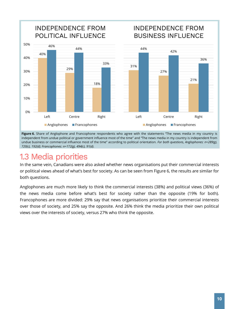

**Figure 6.** Share of Anglophone and Francophone respondents who agree with the statements "The news media in my country is independent from undue political or government influence most of the time" and "The news media in my country is independent from undue business or commercial influence most of the time" according to political orientation. *For both questions, Anglophones: n=289(g), 720(c), 192(d); Francophones: n=172(g), 494(c), 91(d).*

## <span id="page-9-0"></span>1.3 Media priorities

In the same vein, Canadians were also asked whether news organisations put their commercial interests or political views ahead of what's best for society. As can be seen from Figure 6, the results are similar for both questions.

Anglophones are much more likely to think the commercial interests (38%) and political views (36%) of the news media come before what's best for society rather than the opposite (19% for both). Francophones are more divided: 29% say that news organisations prioritize their commercial interests over those of society, and 25% say the opposite. And 26% think the media prioritize their own political views over the interests of society, versus 27% who think the opposite.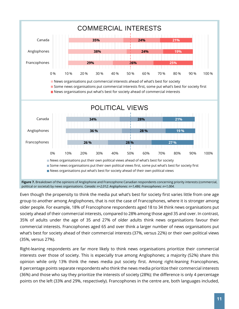

Even though the propensity to think the media put what's best for society first varies little from one age group to another among Anglophones, that is not the case of Francophones, where it is stronger among older people. For example, 18% of Francophone respondents aged 18 to 34 think news organisations put society ahead of their commercial interests, compared to 28% among those aged 35 and over. In contrast, 35% of adults under the age of 35 and 27% of older adults think news organisations favour their commercial interests. Francophones aged 65 and over think a larger number of news organisations put what's best for society ahead of their commercial interests (37%, versus 22%) or their own political views (35%, versus 27%).

Right-leaning respondents are far more likely to think news organisations prioritize their commercial interests over those of society. This is especially true among Anglophones; a majority (52%) share this opinion while only 13% think the news media put society first. Among right-leaning Francophones, 8 percentage points separate respondents who think the news media prioritize their commercial interests (36%) and those who say they prioritize the interests of society (28%); the difference is only 4 percentage points on the left (33% and 29%, respectively). Francophones in the centre are, both languages included,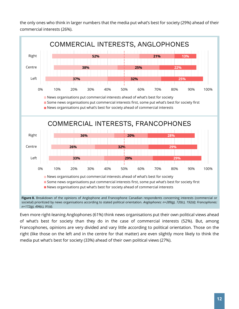the only ones who think in larger numbers that the media put what's best for society (29%) ahead of their commercial interests (26%).



societal) prioritized by news organisations according to stated political orientation. *Anglophones: n=289(g), 720(c), 192(d); Francophones: n=172(g), 494(c), 91(d).*

Even more right-leaning Anglophones (61%) think news organisations put their own political views ahead of what's best for society than they do in the case of commercial interests (52%). But, among Francophones, opinions are very divided and vary little according to political orientation. Those on the right (like those on the left and in the centre for that matter) are even slightly more likely to think the media put what's best for society (33%) ahead of their own political views (27%).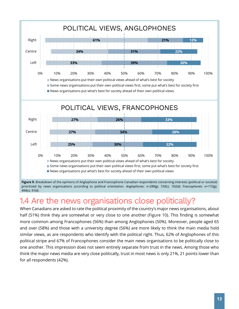

**Figure 9.** Breakdown of the opinions of Anglophone and Francophone Canadian respondents concerning interests (political or societal) prioritized by news organisations according to political orientation. *Anglophones: n=289(g), 720(c), 192(d); Francophones: n=172(g), 494(c), 91(d).*

## <span id="page-12-0"></span>1.4 Are the news organisations close politically?

When Canadians are asked to rate the political proximity of the country's major news organisations, about half (51%) think they are somewhat or very close to one another (Figure 10). This finding is somewhat more common among Francophones (56%) than among Anglophones (50%). Moreover, people aged 65 and over (58%) and those with a university degree (56%) are more likely to think the main media hold similar views, as are respondents who identify with the political right. Thus, 62% of Anglophones of this political stripe and 67% of Francophones consider the main news organisations to be politically close to one another. This impression does not seem entirely separate from trust in the news. Among those who think the major news media are very close politically, trust in most news is only 21%, 21 points lower than for all respondents (42%).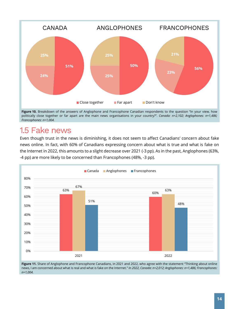

Figure 10. Breakdown of the answers of Anglophone and Francophone Canadian respondents to the question "In your view, how politically close together or far apart are the main news organisations in your country?". *Canada: n=2,102; Anglophones: n=1,486; Francophones: n=1,004.*

## <span id="page-13-0"></span>1.5 Fake news

Even though trust in the news is diminishing, it does not seem to affect Canadians' concern about fake news online. In fact, with 60% of Canadians expressing concern about what is true and what is fake on the Internet in 2022, this amounts to a slight decrease over 2021 (-3 pp). As in the past, Anglophones (63%, -4 pp) are more likely to be concerned than Francophones (48%, -3 pp).



**Figure 11.** Share of Anglophone and Francophone Canadians, in 2021 and 2022, who agree with the statement "Thinking about online news, I am concerned about what is real and what is fake on the Internet." *In 2022, Canada: n=2,012; Anglophones: n=1,486; Francophones: n=1,004.*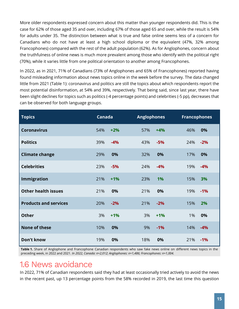More older respondents expressed concern about this matter than younger respondents did. This is the case for 62% of those aged 35 and over, including 67% of those aged 65 and over, while the result is 54% for adults under 35. The distinction between what is true and false online seems less of a concern for Canadians who do not have at least a high school diploma or the equivalent (47%, 32% among Francophones) compared with the rest of the adult population (62%). As for Anglophones, concern about the truthfulness of online news is much more prevalent among those who identify with the political right (70%), while it varies little from one political orientation to another among Francophones.

In 2022, as in 2021, 71% of Canadians (73% of Anglophones and 65% of Francophones) reported having found misleading information about news topics online in the week before the survey. The data changed little from 2021 (Table 1): coronavirus and politics are still the topics about which respondents report the most potential disinformation, at 54% and 39%, respectively. That being said, since last year, there have been slight declines for topics such as politics (-4 percentage points) and celebrities (-5 pp), decreases that can be observed for both language groups.

| <b>Topics</b>                | Canada |       | <b>Anglophones</b> |       | <b>Francophones</b> |       |
|------------------------------|--------|-------|--------------------|-------|---------------------|-------|
| <b>Coronavirus</b>           | 54%    | $+2%$ | 57%                | $+4%$ | 46%                 | 0%    |
| <b>Politics</b>              | 39%    | $-4%$ | 43%                | $-5%$ | 24%                 | $-2%$ |
| <b>Climate change</b>        | 29%    | 0%    | 32%                | 0%    | 17%                 | 0%    |
| <b>Celebrities</b>           | 23%    | $-5%$ | 24%                | $-4%$ | 19%                 | $-4%$ |
| Immigration                  | 21%    | $+1%$ | 23%                | 1%    | 15%                 | 3%    |
| <b>Other health issues</b>   | 21%    | 0%    | 21%                | 0%    | 19%                 | $-1%$ |
| <b>Products and services</b> | 20%    | $-2%$ | 21%                | $-2%$ | 15%                 | 2%    |
| <b>Other</b>                 | 3%     | $+1%$ | 3%                 | $+1%$ | 1%                  | 0%    |
| None of these                | 10%    | 0%    | 9%                 | $-1%$ | 14%                 | $-4%$ |
| Don't know                   | 19%    | 0%    | 18%                | 0%    | 21%                 | $-1%$ |

**Table 1.** Share of Anglophone and Francophone Canadian respondents who saw fake news online on different news topics in the preceding week, in 2022 and 2021. *In 2022, Canada: n=2,012; Anglophones: n=1,486; Francophones: n=1,004.*

### <span id="page-14-0"></span>1.6 News avoidance

In 2022, 71% of Canadian respondents said they had at least occasionally tried actively to avoid the news in the recent past, up 13 percentage points from the 58% recorded in 2019, the last time this question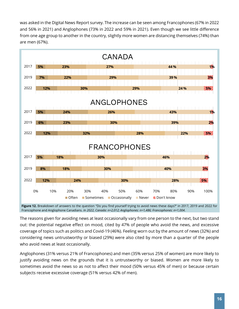was asked in the Digital News Report survey. The increase can be seen among Francophones (67% in 2022 and 56% in 2021) and Anglophones (73% in 2022 and 59% in 2021). Even though we see little difference from one age group to another in the country, slightly more women are distancing themselves (74%) than are men (67%).



**Figure 12.** Breakdown of answers to the question "Do you find yourself trying to avoid news these days?" in 2017, 2019 and 2022 for Francophone and Anglophone Canadians. *In 2022, Canada: n=2,012; Anglophones: n=1,486; Francophones: n=1,004*.

The reasons given for avoiding news at least occasionally vary from one person to the next, but two stand out: the potential negative effect on mood, cited by 47% of people who avoid the news, and excessive coverage of topics such as politics and Covid-19 (46%). Feeling worn out by the amount of news (32%) and considering news untrustworthy or biased (29%) were also cited by more than a quarter of the people who avoid news at least occasionally.

Anglophones (31% versus 21% of Francophones) and men (35% versus 25% of women) are more likely to justify avoiding news on the grounds that it is untrustworthy or biased. Women are more likely to sometimes avoid the news so as not to affect their mood (50% versus 45% of men) or because certain subjects receive excessive coverage (51% versus 42% of men).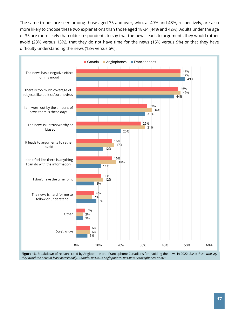The same trends are seen among those aged 35 and over, who, at 49% and 48%, respectively, are also more likely to choose these two explanations than those aged 18-34 (44% and 42%). Adults under the age of 35 are more likely than older respondents to say that the news leads to arguments they would rather avoid (23% versus 13%), that they do not have time for the news (15% versus 9%) or that they have difficulty understanding the news (13% versus 6%).



**Figure 13.** Breakdown of reasons cited by Anglophone and Francophone Canadians for avoiding the news in 2022. *Base: those who say they avoid the news at least occasionally. Canada: n=1,422; Anglophones: n=1,086; Francophones: n=663.*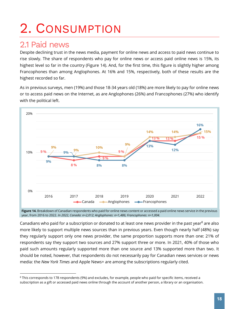## <span id="page-17-0"></span>2. CONSUMPTION

## <span id="page-17-1"></span>2.1 Paid news

Despite declining trust in the news media, payment for online news and access to paid news continue to rise slowly. The share of respondents who pay for online news or access paid online news is 15%, its highest level so far in the country (Figure 14). And, for the first time, this figure is slightly higher among Francophones than among Anglophones. At 16% and 15%, respectively, both of these results are the highest recorded so far.

As in previous surveys, men (19%) and those 18-34 years old (18%) are more likely to pay for online news or to access paid news on the Internet, as are Anglophones (26%) and Francophones (27%) who identify with the political left.



**Figure 14.** Breakdown of Canadian respondents who paid for online news content or accessed a paid online news service in the previous year, from 2016 to 2022. *In 2022, Canada: n=2,012; Anglophones: n=1,486; Francophones: n=1,004.*

Canadians who paid for a subscription or donated to at least one news provider in the past year<sup>8</sup> are also more likely to support multiple news sources than in previous years. Even though nearly half (48%) say they regularly support only one news provider, the same proportion supports more than one: 21% of respondents say they support two sources and 27% support three or more. In 2021, 40% of those who paid such amounts regularly supported more than one source and 13% supported more than two. It should be noted, however, that respondents do not necessarily pay for Canadian news services or news media: the *New York Times* and Apple News+ are among the subscriptions regularly cited.

 $8$  This corresponds to 178 respondents (9%) and excludes, for example, people who paid for specific items, received a subscription as a gift or accessed paid news online through the account of another person, a library or an organisation.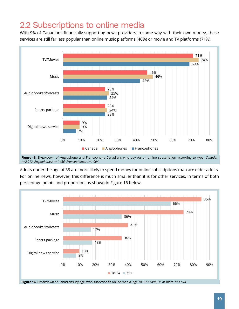## <span id="page-18-0"></span>2.2 Subscriptions to online media

With 9% of Canadians financially supporting news providers in some way with their own money, these services are still far less popular than online music platforms (46%) or movie and TV platforms (71%).



**Figure 15.** Breakdown of Anglophone and Francophone Canadians who pay for an online subscription according to type. *Canada: n=2,012; Anglophones: n=1,486; Francophones: n=1,004.*

Adults under the age of 35 are more likely to spend money for online subscriptions than are older adults. For online news, however, this difference is much smaller than it is for other services, in terms of both percentage points and proportion, as shown in Figure 16 below.

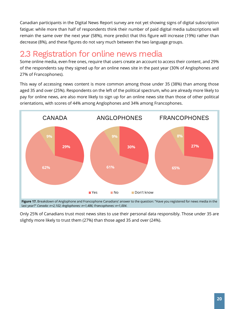Canadian participants in the Digital News Report survey are not yet showing signs of digital subscription fatigue: while more than half of respondents think their number of paid digital media subscriptions will remain the same over the next year (58%), more predict that this figure will increase (19%) rather than decrease (8%), and these figures do not vary much between the two language groups.

## <span id="page-19-0"></span>2.3 Registration for online news media

Some online media, even free ones, require that users create an account to access their content, and 29% of the respondents say they signed up for an online news site in the past year (30% of Anglophones and 27% of Francophones).

This way of accessing news content is more common among those under 35 (38%) than among those aged 35 and over (25%). Respondents on the left of the political spectrum, who are already more likely to pay for online news, are also more likely to sign up for an online news site than those of other political orientations, with scores of 44% among Anglophones and 34% among Francophones.



Only 25% of Canadians trust most news sites to use their personal data responsibly. Those under 35 are slightly more likely to trust them (27%) than those aged 35 and over (24%).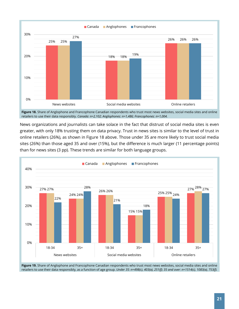

retailers to use their data responsibly. *Canada: n=2,102; Anglophones: n=1,486; Francophones: n=1,004.*

News organizations and journalists can take solace in the fact that distrust of social media sites is even greater, with only 18% trusting them on data privacy. Trust in news sites is similar to the level of trust in online retailers (26%), as shown in Figure 18 above. Those under 35 are more likely to trust social media sites (26%) than those aged 35 and over (15%), but the difference is much larger (11 percentage points) than for news sites (3 pp). These trends are similar for both language groups.



**Figure 19.** Share of Anglophone and Francophone Canadian respondents who trust most news websites, social media sites and online retailers to use their data responsibly, as a function of age group. *Under 35: n=498(c), 403(a), 251(f); 35 and over: n=1514(c), 1083(a), 753(f).*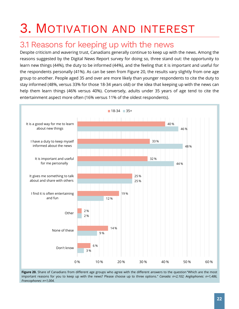## <span id="page-21-0"></span>3. MOTIVATION AND INTEREST

## <span id="page-21-1"></span>3.1 Reasons for keeping up with the news

Despite criticism and wavering trust, Canadians generally continue to keep up with the news. Among the reasons suggested by the Digital News Report survey for doing so, three stand out: the opportunity to learn new things (44%), the duty to be informed (44%), and the feeling that it is important and useful for the respondents personally (41%). As can be seen from Figure 20, the results vary slightly from one age group to another. People aged 35 and over are more likely than younger respondents to cite the duty to stay informed (48%, versus 33% for those 18-34 years old) or the idea that keeping up with the news can help them learn things (46% versus 40%). Conversely, adults under 35 years of age tend to cite the entertainment aspect more often (16% versus 11% of the oldest respondents).



**Figure 20.** Share of Canadians from different age groups who agree with the different answers to the question "Which are the most important reasons for you to keep up with the news? Please choose up to three options." *Canada: n=2,102; Anglophones: n=1,486, Francophones: n=1,004.*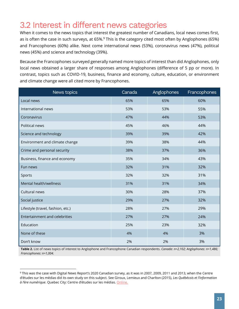## <span id="page-22-0"></span>3.2 Interest in different news categories

When it comes to the news topics that interest the greatest number of Canadians, local news comes first, as is often the case in such surveys, at 65%.<sup>9</sup> This is the category cited most often by Anglophones (65%) and Francophones (60%) alike. Next come international news (53%), coronavirus news (47%), political news (45%) and science and technology (39%).

Because the Francophones surveyed generally named more topics of interest than did Anglophones, only local news obtained a larger share of responses among Anglophones (difference of 5 pp or more). In contrast, topics such as COVID-19, business, finance and economy, culture, education, or environment and climate change were all cited more by Francophones.

| News topics                       | Canada | Anglophones | Francophones |
|-----------------------------------|--------|-------------|--------------|
| Local news                        | 65%    | 65%         | 60%          |
| International news                | 53%    | 53%         | 55%          |
| Coronavirus                       | 47%    | 44%         | 53%          |
| Political news                    | 45%    | 46%         | 44%          |
| Science and technology            | 39%    | 39%         | 42%          |
| Environment and climate change    | 39%    | 38%         | 44%          |
| Crime and personal security       | 38%    | 37%         | 36%          |
| Business, finance and economy     | 35%    | 34%         | 43%          |
| Fun news                          | 32%    | 31%         | 32%          |
| Sports                            | 32%    | 32%         | 31%          |
| Mental health/wellness            | 31%    | 31%         | 34%          |
| Cultural news                     | 30%    | 28%         | 37%          |
| Social justice                    | 29%    | 27%         | 32%          |
| Lifestyle (travel, fashion, etc.) | 28%    | 27%         | 29%          |
| Entertainment and celebrities     | 27%    | 27%         | 24%          |
| Education                         | 25%    | 23%         | 32%          |
| None of these                     | 4%     | 4%          | 3%           |
| Don't know                        | 2%     | 2%          | 3%           |

**Table 2.** List of news topics of interest to Anglophone and Francophone Canadian respondents. *Canada: n=2,102; Anglophones: n=1,486; Francophones: n=1,004.*

<sup>9</sup> This was the case with Digital News Report's 2020 Canadian survey, as it was in 2007, 2009, 2011 and 2013, when the Centre d'études sur les médias did its own study on this subject. See Giroux, Lemieux and Charlton (2015), *Les Québécois et l'information à l'ère numérique*. Quebec City: Centre d'études sur les médias[. Online.](https://www.cem.ulaval.ca/wp-content/uploads/2019/04/publicsdelinformation.pdf)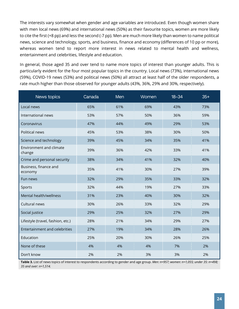The interests vary somewhat when gender and age variables are introduced. Even though women share with men local news (69%) and international news (50%) as their favourite topics, women are more likely to cite the first (+8 pp) and less the second (-7 pp). Men are much more likely than women to name political news, science and technology, sports, and business, finance and economy (differences of 10 pp or more), whereas women tend to report more interest in news related to mental health and wellness, entertainment and celebrities, lifestyle and education.

In general, those aged 35 and over tend to name more topics of interest than younger adults. This is particularly evident for the four most popular topics in the country. Local news (73%), international news (59%), COVID-19 news (53%) and political news (50%) all attract at least half of the older respondents, a rate much higher than those observed for younger adults (43%, 36%, 29% and 30%, respectively).

| News topics                       | Canada | Men | Women | $18 - 34$ | $35+$ |
|-----------------------------------|--------|-----|-------|-----------|-------|
| Local news                        | 65%    | 61% | 69%   | 43%       | 73%   |
| International news                | 53%    | 57% | 50%   | 36%       | 59%   |
| Coronavirus                       | 47%    | 44% | 49%   | 29%       | 53%   |
| Political news                    | 45%    | 53% | 38%   | 30%       | 50%   |
| Science and technology            | 39%    | 45% | 34%   | 35%       | 41%   |
| Environment and climate<br>change | 39%    | 36% | 42%   | 33%       | 41%   |
| Crime and personal security       | 38%    | 34% | 41%   | 32%       | 40%   |
| Business, finance and<br>economy  | 35%    | 41% | 30%   | 27%       | 39%   |
| Fun news                          | 32%    | 29% | 35%   | 33%       | 32%   |
| Sports                            | 32%    | 44% | 19%   | 27%       | 33%   |
| Mental health/wellness            | 31%    | 23% | 40%   | 30%       | 32%   |
| Cultural news                     | 30%    | 26% | 33%   | 32%       | 29%   |
| Social justice                    | 29%    | 25% | 32%   | 27%       | 29%   |
| Lifestyle (travel, fashion, etc.) | 28%    | 21% | 34%   | 29%       | 27%   |
| Entertainment and celebrities     | 27%    | 19% | 34%   | 28%       | 26%   |
| Education                         | 25%    | 20% | 30%   | 26%       | 25%   |
| None of these                     | 4%     | 4%  | 4%    | 7%        | 2%    |
| Don't know                        | 2%     | 2%  | 3%    | 3%        | 2%    |

**Table 3.** List of news topics of interest to respondents according to gender and age group. *Men: n=957; women: n=1,055; under 35: n=498; 35 and over: n=1,514.*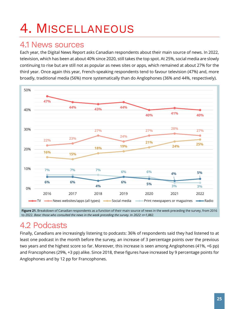## <span id="page-24-0"></span>4. MISCELLANEOUS

### <span id="page-24-1"></span>4.1 News sources

Each year, the Digital News Report asks Canadian respondents about their main source of news. In 2022, television, which has been at about 40% since 2020, still takes the top spot. At 25%, social media are slowly continuing to rise but are still not as popular as news sites or apps, which remained at about 27% for the third year. Once again this year, French-speaking respondents tend to favour television (47%) and, more broadly, traditional media (56%) more systematically than do Anglophones (36% and 44%, respectively).



**Figure 21.** Breakdown of Canadian respondents as a function of their main source of news in the week preceding the survey, from 2016 to 2022. *Base: those who consulted the news in the week preceding the survey. In 2022: n=1,882.*

## <span id="page-24-2"></span>4.2 Podcasts

Finally, Canadians are increasingly listening to podcasts: 36% of respondents said they had listened to at least one podcast in the month before the survey, an increase of 3 percentage points over the previous two years and the highest score so far. Moreover, this increase is seen among Anglophones (41%, +6 pp) and Francophones (29%, +3 pp) alike. Since 2018, these figures have increased by 9 percentage points for Anglophones and by 12 pp for Francophones.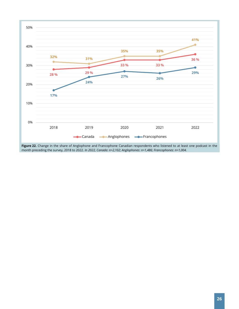

**Figure 22.** Change in the share of Anglophone and Francophone Canadian respondents who listened to at least one podcast in the month preceding the survey, 2018 to 2022. *In 2022, Canada: n=2,102; Anglophones: n=1,486; Francophones: n=1,004.*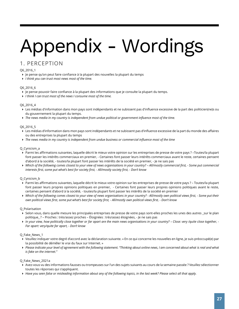# <span id="page-26-0"></span>Appendix - Wordings

#### 1. PERCEPTION

#### Q6\_2016\_1

- Je pense qu'on peut faire confiance à la plupart des nouvelles la plupart du temps
- *I think you can trust most news most of the time.*

#### Q6\_2016\_6

- Je pense pouvoir faire confiance à la plupart des informations que je consulte la plupart du temps.
- *I think I can trust most of the news I consume most of the time.*

#### Q6\_2016\_4

- Les médias d'information dans mon pays sont indépendants et ne subissent pas d'influence excessive de la part des politicien(ne)s ou du gouvernement la plupart du temps.
- *The news media in my country is independent from undue political or government influence most of the time.*

#### Q6\_2016\_5

- Les médias d'information dans mon pays sont indépendants et ne subissent pas d'influence excessive de la part du monde des affaires ou des entreprises la plupart du temps
- *The news media in my country is independent from undue business or commercial influence most of the time*

#### Q\_Cynicism\_a

- Parmi les affirmations suivantes, laquelle décrit le mieux votre opinion sur les entreprises de presse de votre pays ? –Toutes/la plupart font passer les intérêts commerciaux en premier, - Certaines font passer leurs intérêts commerciaux avant le reste, certaines pensent d'abord à la société, - toutes/la plupart font passer les intérêts de la société en premier, - Je ne sais pas
- **▶** Which of the following comes closest to your view of news organisations in your country? All/mostly commercial first, Some put commercial *interests first, some put what's best for society first, - All/mostly society first, - Don't know*

#### Q\_Cynicism\_b

- Parmi les affirmations suivantes, laquelle décrit le mieux votre opinion sur les entreprises de presse de votre pays ? Toutes/la plupart font passer leurs propres opinions politiques en premier, - Certaines font passer leurs propres opinions politiques avant le reste, certaines pensent d'abord à la société, - toutes/la plupart font passer les intérêts de la société en premier
- *Which of the following comes closest to your view of news organisations in your country? - All/mostly own political views first, - Some put their own political views first, some put what's best for society first, - All/mostly own political views first, - Don't know*

#### Q\_Polarisation

- ▶ Selon vous, dans quelle mesure les principales entreprises de presse de votre pays sont-elles proches les unes des autres sur le plan politique\_ ? – Proches : très/assez proches – Éloignées : très/assez éloignées, - Je ne sais pas
- *In your view, how politically close together or far apart are the main news organisations in your country? – Close: very /quite close together, - Far apart: very/quite far apart, - Don't know*

#### Q\_Fake\_News\_1

- Veuillez indiquer votre degré d'accord avec la déclaration suivante. « En ce qui concerne les nouvelles en ligne, je suis préoccupé(e) par la possibilité de démêler le vrai du faux sur Internet. »
- Please indicate your level of agreement with the following statement. "Thinking about online news, I am concerned about what is real and what *is fake on the internet."*

#### Q\_Fake\_News\_2021a

- Avez-vous vu des informations fausses ou trompeuses sur l'un des sujets suivants au cours de la semaine passée ? Veuillez sélectionner toutes les réponses qui s'appliquent.
- *Have you seen false or misleading information about any of the following topics, in the last week? Please select all that apply.*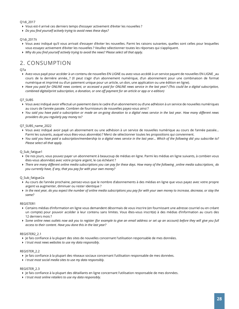#### Q1di\_2017

- Vous est-il arrivé ces derniers temps d'essayer activement d'éviter les nouvelles ?
- *Do you find yourself actively trying to avoid news these days?*

#### Q1di\_2017ii

- Vous avez indiqué qu'il vous arrivait d'essayer d'éviter les nouvelles. Parmi les raisons suivantes, quelles sont celles pour lesquelles vous essayez activement d'éviter les nouvelles ? Veuillez sélectionner toutes les réponses qui s'appliquent.
- *Why do you find yourself actively trying to avoid the news? Please select all that apply.*

### 2. CONSUMPTION

#### Q7a

- Avez-vous payé pour accéder à un contenu de nouvelles EN LIGNE ou avez-vous accédé à un service payant de nouvelles EN LIGNE \_au cours de la dernière année ? (Il peut s'agir d'un abonnement numérique, d'un abonnement pour une combinaison de format numérique et imprimé ou d'un paiement unique pour un article, un don, une application ou une édition en ligne).
- *Have you paid for ONLINE news content, or accessed a paid for ONLINE news service in the last year? (This could be a digital subscription, combined digital/print subscription, a donation, or one off payment for an article or app or e-edition)*

#### Q7\_SUBS

- Vous avez indiqué avoir effectué un paiement dans le cadre d'un abonnement ou d'une adhésion à un service de nouvelles numériques au cours de l'année passée. Combien de fournisseurs de nouvelles payez-vous ainsi ?
- *You said you have paid a subscription or made an on-going donation to a digital news service in the last year. How many different news providers do you regularly pay money to?*

#### Q7\_SUBS\_name\_2022

- Vous avez indiqué avoir payé un abonnement ou une adhésion à un service de nouvelles numérique au cours de l'année passée… Parmi les suivants, auquel vous êtes-vous abonné(e) ? Merci de sélectionner toutes les propositions qui conviennent.
- *You said you have paid a subscription/membership to a digital news service in the last year… Which of the following did you subscribe to? Please select all that apply.*

#### Q\_Sub\_fatigue1

- De nos jours, vous pouvez payer un abonnement à beaucoup de médias en ligne. Parmi les médias en ligne suivants, à combien vous êtes-vous abonné(e) avec votre propre argent, le cas échéant ?
- *There are many different online media subscriptions you can pay for these days. How many of the following \_online media subscriptions\_ do you currently have, if any, that you pay for with your own money?*

#### Q\_Sub\_fatigue2a

- Au cours de l'année prochaine, pensez-vous que le nombre d'abonnements à des médias en ligne que vous payez avec votre propre argent va augmenter, diminuer ou rester identique ?
- *In the next year, do you expect the number of online media subscriptions you pay for with your own money to increase, decrease, or stay the same?*

#### REGISTER1

- Certains médias d'information en ligne vous demandent désormais de vous inscrire (en fournissant une adresse courriel ou en créant un compte) pour pouvoir accéder à leur contenu sans limites. Vous êtes-vous inscrit(e) à des médias d'information au cours des 12 derniers mois ?
- *Some online news outlets now ask you to register (for example to give an email address or set up an account) before they will give you full access to their content. Have you done this in the last year?*

#### REGISTER2\_2.1

- Je fais confiance à la plupart des sites de nouvelles concernant l'utilisation responsable de mes données.
- *I trust most news websites to use my data responsibly.*

#### REGISTER\_2.2

- Je fais confiance à la plupart des réseaux sociaux concernant l'utilisation responsable de mes données.
- *I trust most social media sites to use my data responsibly.*

#### REGISTER\_2.3

- Je fais confiance à la plupart des détaillants en ligne concernant l'utilisation responsable de mes données.
- *I trust most online retailers to use my data responsibly.*